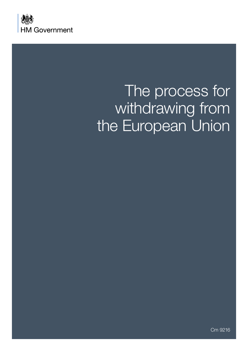

# The process for withdrawing from the European Union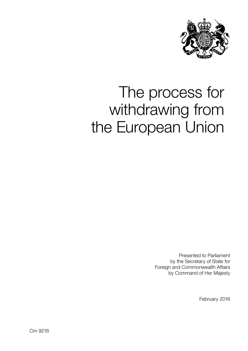

# The process for withdrawing from the European Union

Presented to Parliament by the Secretary of State for Foreign and Commonwealth Affairs by Command of Her Majesty

February 2016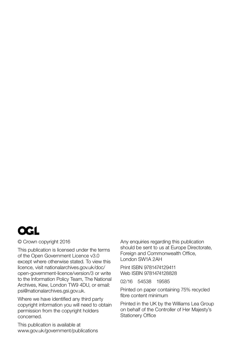

#### © Crown copyright 2016

This publication is licensed under the terms of the Open Government Licence v3.0 except where otherwise stated. To view this licence, visit [nationalarchives.gov.uk/doc/](http://nationalarchives.gov.uk/doc/open-government-licence/version/3) [open-government-licence/version/3](http://nationalarchives.gov.uk/doc/open-government-licence/version/3) or write to the Information Policy Team, The National Archives, Kew, London TW9 4DU, or email: [psi@nationalarchives.gsi.gov.uk.](mailto:psi%40nationalarchives.gsi.gov.uk?subject=)

Where we have identified any third party copyright information you will need to obtain permission from the copyright holders concerned.

This publication is available at <www.gov.uk/government/publications> Any enquiries regarding this publication should be sent to us at Europe Directorate, Foreign and Commonwealth Office, London SW1A 2AH

Print ISBN 9781474129411 Web ISBN 9781474128828

02/16 54538 19585

Printed on paper containing 75% recycled fibre content minimum

Printed in the UK by the Williams Lea Group on behalf of the Controller of Her Majesty's Stationery Office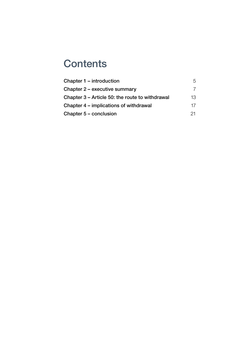# **Contents**

| Chapter 1 – introduction                        | 5   |
|-------------------------------------------------|-----|
| Chapter 2 – executive summary                   |     |
| Chapter 3 – Article 50: the route to withdrawal | 13. |
| Chapter 4 – implications of withdrawal          | 17  |
| Chapter 5 – conclusion                          | 21. |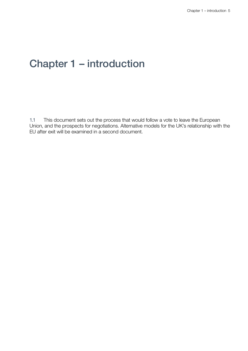### Chapter 1 – introduction

1.1 This document sets out the process that would follow a vote to leave the European Union, and the prospects for negotiations. Alternative models for the UK's relationship with the EU after exit will be examined in a second document.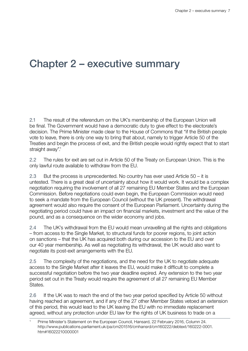## Chapter 2 – executive summary

2.1 The result of the referendum on the UK's membership of the European Union will be final. The Government would have a democratic duty to give effect to the electorate's decision. The Prime Minister made clear to the House of Commons that "if the British people vote to leave, there is only one way to bring that about, namely to trigger Article 50 of the Treaties and begin the process of exit, and the British people would rightly expect that to start straight away".<sup>1</sup>

2.2 The rules for exit are set out in Article 50 of the Treaty on European Union. This is the only lawful route available to withdraw from the EU.

2.3 But the process is unprecedented. No country has ever used Article 50 – it is untested. There is a great deal of uncertainty about how it would work. It would be a complex negotiation requiring the involvement of all 27 remaining EU Member States and the European Commission. Before negotiations could even begin, the European Commission would need to seek a mandate from the European Council (without the UK present). The withdrawal agreement would also require the consent of the European Parliament. Uncertainty during the negotiating period could have an impact on financial markets, investment and the value of the pound, and as a consequence on the wider economy and jobs.

2.4 The UK's withdrawal from the EU would mean unravelling all the rights and obligations – from access to the Single Market, to structural funds for poorer regions, to joint action on sanctions – that the UK has acquired both during our accession to the EU and over our 40 year membership. As well as negotiating its withdrawal, the UK would also want to negotiate its post-exit arrangements with the EU.

2.5 The complexity of the negotiations, and the need for the UK to negotiate adequate access to the Single Market after it leaves the EU, would make it difficult to complete a successful negotiation before the two year deadline expired. Any extension to the two year period set out in the Treaty would require the agreement of all 27 remaining EU Member States.

2.6 If the UK was to reach the end of the two year period specified by Article 50 without having reached an agreement, and if any of the 27 other Member States vetoed an extension of this period, this would lead to the UK leaving the EU with no immediate replacement agreed, without any protection under EU law for the rights of UK business to trade on a

<sup>1</sup> Prime Minister's Statement on the European Council, Hansard, 22 February 2016, Column 24. [http://www.publications.parliament.uk/pa/cm201516/cmhansrd/cm160222/debtext/160222-0001.](http://www.publications.parliament.uk/pa/cm201516/cmhansrd/cm160222/debtext/160222-0001.htm#16022210) [htm#16022210000001](http://www.publications.parliament.uk/pa/cm201516/cmhansrd/cm160222/debtext/160222-0001.htm#16022210)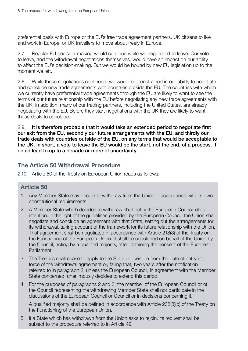preferential basis with Europe or the EU's free trade agreement partners, UK citizens to live and work in Europe, or UK travellers to move about freely in Europe.

2.7 Regular EU decision-making would continue while we negotiated to leave. Our vote to leave, and the withdrawal negotiations themselves, would have an impact on our ability to affect the EU's decision-making. But we would be bound by new EU legislation up to the moment we left.

2.8 While these negotiations continued, we would be constrained in our ability to negotiate and conclude new trade agreements with countries outside the EU. The countries with which we currently have preferential trade agreements through the EU are likely to want to see the terms of our future relationship with the EU before negotiating any new trade agreements with the UK. In addition, many of our trading partners, including the United States, are already negotiating with the EU. Before they start negotiations with the UK they are likely to want those deals to conclude.

2.9 It is therefore probable that it would take an extended period to negotiate first our exit from the EU, secondly our future arrangements with the EU, and thirdly our trade deals with countries outside of the EU, on any terms that would be acceptable to the UK. In short, a vote to leave the EU would be the start, not the end, of a process. It could lead to up to a decade or more of uncertainty.

### The Article 50 Withdrawal Procedure

2.10 Article 50 of the Treaty on European Union reads as follows:

### Article 50

- 1. Any Member State may decide to withdraw from the Union in accordance with its own constitutional requirements.
- 2. A Member State which decides to withdraw shall notify the European Council of its intention. In the light of the guidelines provided by the European Council, the Union shall negotiate and conclude an agreement with that State, setting out the arrangements for its withdrawal, taking account of the framework for its future relationship with the Union. That agreement shall be negotiated in accordance with Article 218(3) of the Treaty on the Functioning of the European Union. It shall be concluded on behalf of the Union by the Council, acting by a qualified majority, after obtaining the consent of the European Parliament.
- 3. The Treaties shall cease to apply to the State in question from the date of entry into force of the withdrawal agreement or, failing that, two years after the notification referred to in paragraph 2, unless the European Council, in agreement with the Member State concerned, unanimously decides to extend this period.
- 4. For the purposes of paragraphs 2 and 3, the member of the European Council or of the Council representing the withdrawing Member State shall not participate in the discussions of the European Council or Council or in decisions concerning it.

A qualified majority shall be defined in accordance with Article 238(3)(b) of the Treaty on the Functioning of the European Union.

5. If a State which has withdrawn from the Union asks to rejoin, its request shall be subject to the procedure referred to in Article 49.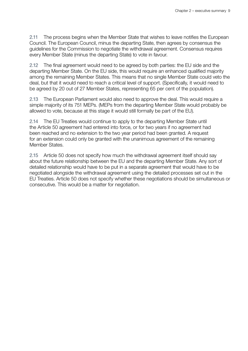2.11 The process begins when the Member State that wishes to leave notifies the European Council. The European Council, minus the departing State, then agrees by consensus the guidelines for the Commission to negotiate the withdrawal agreement. Consensus requires every Member State (minus the departing State) to vote in favour.

2.12 The final agreement would need to be agreed by both parties: the EU side and the departing Member State. On the EU side, this would require an enhanced qualified majority among the remaining Member States. This means that no single Member State could veto the deal, but that it would need to reach a critical level of support. (Specifically, it would need to be agreed by 20 out of 27 Member States, representing 65 per cent of the population).

2.13 The European Parliament would also need to approve the deal. This would require a simple majority of its 751 MEPs. (MEPs from the departing Member State would probably be allowed to vote, because at this stage it would still formally be part of the EU).

2.14 The EU Treaties would continue to apply to the departing Member State until the Article 50 agreement had entered into force, or for two years if no agreement had been reached and no extension to the two year period had been granted. A request for an extension could only be granted with the unanimous agreement of the remaining Member States.

2.15 Article 50 does not specify how much the withdrawal agreement itself should say about the future relationship between the EU and the departing Member State. Any sort of detailed relationship would have to be put in a separate agreement that would have to be negotiated alongside the withdrawal agreement using the detailed processes set out in the EU Treaties. Article 50 does not specify whether these negotiations should be simultaneous or consecutive. This would be a matter for negotiation.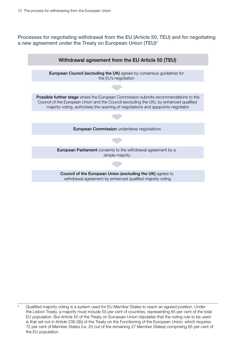Processes for negotiating withdrawal from the EU (Article 50, TEU) and for negotiating a new agreement under the Treaty on European Union (TEU)<sup>2</sup>



<sup>&</sup>lt;sup>2</sup> Qualified majority voting is a system used for EU Member States to reach an agreed position. Under the Lisbon Treaty, a majority must include 55 per cent of countries, representing 65 per cent of the total EU population. But Article 50 of the Treaty on European Union stipulates that the voting rule to be used is that set out in Article 238.3(b) of the Treaty on the Functioning of the European Union, which requires 72 per cent of Member States (i.e. 20 out of the remaining 27 Member States) comprising 65 per cent of the EU population.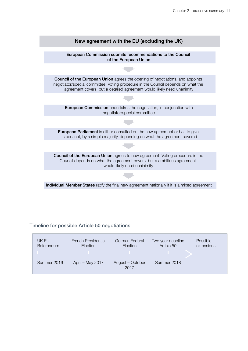

#### Timeline for possible Article 50 negotiations

| UK EU       | <b>French Presidential</b> | German Federal           | Two year deadline | Possible   |
|-------------|----------------------------|--------------------------|-------------------|------------|
| Referendum  | Election                   | Election                 | Article 50        | extensions |
| Summer 2016 | April - May 2017           | August - October<br>2017 | Summer 2018       |            |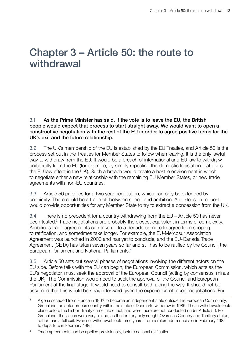### Chapter 3 – Article 50: the route to withdrawal

3.1 As the Prime Minister has said, if the vote is to leave the EU, the British people would expect that process to start straight away. We would want to open a constructive negotiation with the rest of the EU in order to agree positive terms for the UK's exit and the future relationship.

3.2 The UK's membership of the EU is established by the EU Treaties, and Article 50 is the process set out in the Treaties for Member States to follow when leaving. It is the only lawful way to withdraw from the EU. It would be a breach of international and EU law to withdraw unilaterally from the EU (for example, by simply repealing the domestic legislation that gives the EU law effect in the UK). Such a breach would create a hostile environment in which to negotiate either a new relationship with the remaining EU Member States, or new trade agreements with non-EU countries.

3.3 Article 50 provides for a two year negotiation, which can only be extended by unanimity. There could be a trade off between speed and ambition. An extension request would provide opportunities for any Member State to try to extract a concession from the UK.

3.4 There is no precedent for a country withdrawing from the EU – Article 50 has never been tested.<sup>3</sup> Trade negotiations are probably the closest equivalent in terms of complexity. Ambitious trade agreements can take up to a decade or more to agree from scoping to ratification, and sometimes take longer. For example, the EU-Mercosur Association Agreement was launched in 2000 and has yet to conclude, and the EU-Canada Trade Agreement (CETA) has taken seven years so far and still has to be ratified by the Council, the European Parliament and National Parliaments.<sup>4</sup>

3.5 Article 50 sets out several phases of negotiations involving the different actors on the EU side. Before talks with the EU can begin, the European Commission, which acts as the EU's negotiator, must seek the approval of the European Council (acting by consensus, minus the UK). The Commission would need to seek the approval of the Council and European Parliament at the final stage. It would need to consult both along the way. It should not be assumed that this would be straightforward given the experience of recent negotiations. For

<sup>4</sup> Trade agreements can be applied provisionally, before national ratification.

<sup>&</sup>lt;sup>3</sup> Algeria seceded from France in 1962 to become an independent state outside the European Community. Greenland, an autonomous country within the state of Denmark, withdrew in 1985. These withdrawals took place before the Lisbon Treaty came into effect, and were therefore not conducted under Article 50. For Greenland, the issues were very limited, as the territory only sought Overseas Country and Territory status, rather than a full exit. Even so, withdrawal took three years: from a referendum decision in February 1982 to departure in February 1985.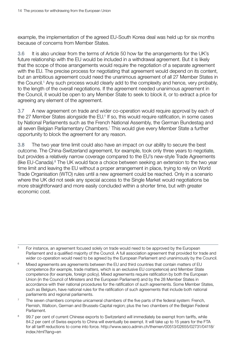example, the implementation of the agreed EU-South Korea deal was held up for six months because of concerns from Member States.

3.6 It is also unclear from the terms of Article 50 how far the arrangements for the UK's future relationship with the EU would be included in a withdrawal agreement. But it is likely that the scope of those arrangements would require the negotiation of a separate agreement with the EU. The precise process for negotiating that agreement would depend on its content, but an ambitious agreement could need the unanimous agreement of all 27 Member States in the Council.<sup>5</sup> Any such process would clearly add to the complexity and hence, very probably, to the length of the overall negotiations. If the agreement needed unanimous agreement in the Council, it would be open to any Member State to seek to block it, or to extract a price for agreeing any element of the agreement.

3.7 A new agreement on trade and wider co-operation would require approval by each of the 27 Member States alongside the EU.<sup>6</sup> If so, this would require ratification, in some cases by National Parliaments such as the French National Assembly, the German Bundestag and all seven Belgian Parliamentary Chambers.<sup>7</sup> This would give every Member State a further opportunity to block the agreement for any reason.

3.8 The two year time limit could also have an impact on our ability to secure the best outcome. The China-Switzerland agreement, for example, took only three years to negotiate, but provides a relatively narrow coverage compared to the EU's new-style Trade Agreements (like EU-Canada).<sup>8</sup> The UK would face a choice between seeking an extension to the two year time limit and leaving the EU without a proper arrangement in place, trying to rely on World Trade Organisation (WTO) rules until a new agreement could be reached. Only in a scenario where the UK did not seek any special access to the Single Market would negotiations be more straightforward and more easily concluded within a shorter time, but with greater economic cost.

<sup>&</sup>lt;sup>5</sup> For instance, an agreement focused solely on trade would need to be approved by the European Parliament and a qualified majority of the Council. A full association agreement that provided for trade and wider co-operation would need to be agreed by the European Parliament and unanimously by the Council.

<sup>&</sup>lt;sup>6</sup> Mixed agreements are agreements between the EU and third countries that contain matters of EU competence (for example, trade matters, which is an exclusive EU competence) and Member State competence (for example, foreign policy). Mixed agreements require ratification by both the European Union (in the Council of Ministers and the European Parliament) and by the 28 Member States in accordance with their national procedures for the ratification of such agreements. Some Member States, such as Belgium, have national rules for the ratification of such agreements that include both national parliaments and regional parliaments.

 $7$  The seven chambers comprise unicameral chambers of the five parts of the federal system: French, Flemish, Walloon, German and Brussels-Capital region; plus the two chambers of the Belgian Federal Parliament.

<sup>8 99.7</sup> per cent of current Chinese exports to Switzerland will immediately be exempt from tariffs, while 84.2 per cent of Swiss exports to China will eventually be exempt. It will take up to 15 years for the FTA for all tariff reductions to come into force. [http://www.seco.admin.ch/themen/00513/02655/02731/04118/](http://www.seco.admin.ch/themen/00513/02655/02731/04118/index.html?lang=en) [index.html?lang=en](http://www.seco.admin.ch/themen/00513/02655/02731/04118/index.html?lang=en)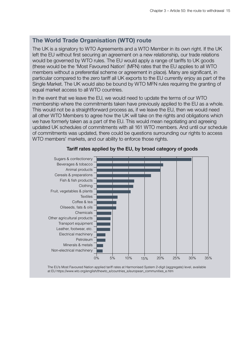### The World Trade Organisation (WTO) route

The UK is a signatory to WTO Agreements and a WTO Member in its own right. If the UK left the EU without first securing an agreement on a new relationship, our trade relations would be governed by WTO rules. The EU would apply a range of tariffs to UK goods (these would be the 'Most Favoured Nation' (MFN) rates that the EU applies to all WTO members without a preferential scheme or agreement in place). Many are significant, in particular compared to the zero tariff all UK exports to the EU currently enjoy as part of the Single Market. The UK would also be bound by WTO MFN rules requiring the granting of equal market access to all WTO countries.

In the event that we leave the EU, we would need to update the terms of our WTO membership where the commitments taken have previously applied to the EU as a whole. This would not be a straightforward process as, if we leave the EU, then we would need all other WTO Members to agree how the UK will take on the rights and obligations which we have formerly taken as a part of the EU. This would mean negotiating and agreeing updated UK schedules of commitments with all 161 WTO members. And until our schedule of commitments was updated, there could be questions surrounding our rights to access WTO members' markets, and our ability to enforce those rights.



#### Tariff rates applied by the EU, by broad category of goods

The EU's Most Favoured Nation applied tariff rates at Harmonised System 2-digit (aggregate) level, available at EU https://www.wto.org/english/thewto\_e/countries\_e/european\_communities\_e.htm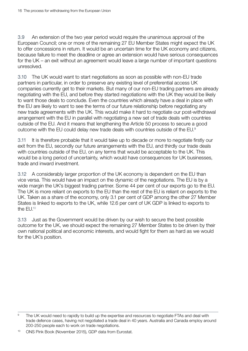3.9 An extension of the two year period would require the unanimous approval of the European Council; one or more of the remaining 27 EU Member States might expect the UK to offer concessions in return. It would be an uncertain time for the UK economy and citizens, because failure to meet the deadline or agree an extension would have serious consequences for the UK – an exit without an agreement would leave a large number of important questions unresolved.

3.10 The UK would want to start negotiations as soon as possible with non-EU trade partners in particular, in order to preserve any existing level of preferential access UK companies currently get to their markets. But many of our non-EU trading partners are already negotiating with the EU, and before they started negotiations with the UK they would be likely to want those deals to conclude. Even the countries which already have a deal in place with the EU are likely to want to see the terms of our future relationship before negotiating any new trade agreements with the UK. This would make it hard to negotiate our post-withdrawal arrangement with the EU in parallel with negotiating a new set of trade deals with countries outside of the EU. And it means that lengthening the Article 50 process to secure a good outcome with the EU could delay new trade deals with countries outside of the EU.<sup>9</sup>

3.11 It is therefore probable that it would take up to decade or more to negotiate firstly our exit from the EU, secondly our future arrangements with the EU, and thirdly our trade deals with countries outside of the EU, on any terms that would be acceptable to the UK. This would be a long period of uncertainty, which would have consequences for UK businesses, trade and inward investment.

3.12 A considerably larger proportion of the UK economy is dependent on the EU than vice versa. This would have an impact on the dynamic of the negotiations. The EU is by a wide margin the UK's biggest trading partner. Some 44 per cent of our exports go to the EU. The UK is more reliant on exports to the EU than the rest of the EU is reliant on exports to the UK. Taken as a share of the economy, only 3.1 per cent of GDP among the other 27 Member States is linked to exports to the UK, while 12.6 per cent of UK GDP is linked to exports to the  $FlJ^{10}$ 

3.13 Just as the Government would be driven by our wish to secure the best possible outcome for the UK, we should expect the remaining 27 Member States to be driven by their own national political and economic interests, and would fight for them as hard as we would for the UK's position.

<sup>9</sup> The UK would need to rapidly to build up the expertise and resources to negotiate FTAs and deal with trade defence cases, having not negotiated a trade deal in 40 years. Australia and Canada employ around 200-250 people each to work on trade negotiations.

<sup>10</sup> ONS Pink Book (November 2015), GDP data from Eurostat.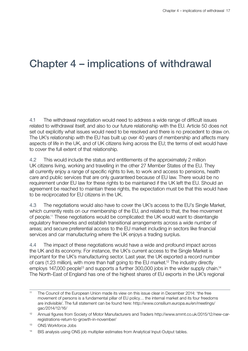# Chapter 4 – implications of withdrawal

4.1 The withdrawal negotiation would need to address a wide range of difficult issues related to withdrawal itself, and also to our future relationship with the EU. Article 50 does not set out explicitly what issues would need to be resolved and there is no precedent to draw on. The UK's relationship with the EU has built up over 40 years of membership and affects many aspects of life in the UK, and of UK citizens living across the EU; the terms of exit would have to cover the full extent of that relationship.

4.2 This would include the status and entitlements of the approximately 2 million UK citizens living, working and travelling in the other 27 Member States of the EU. They all currently enjoy a range of specific rights to live, to work and access to pensions, health care and public services that are only guaranteed because of EU law. There would be no requirement under EU law for these rights to be maintained if the UK left the EU. Should an agreement be reached to maintain these rights, the expectation must be that this would have to be reciprocated for EU citizens in the UK.

4.3 The negotiations would also have to cover the UK's access to the EU's Single Market, which currently rests on our membership of the EU, and related to that, the free movement of people.11 These negotiations would be complicated: the UK would want to disentangle regulatory frameworks and establish transitional arrangements across a wide number of areas; and secure preferential access to the EU market including in sectors like financial services and car manufacturing where the UK enjoys a trading surplus.

4.4 The impact of these negotiations would have a wide and profound impact across the UK and its economy. For instance, the UK's current access to the Single Market is important for the UK's manufacturing sector. Last year, the UK exported a record number of cars (1.23 million), with more than half going to the EU market.<sup>12</sup> The industry directly employs 147,000 people<sup>13</sup> and supports a further 300,000 jobs in the wider supply chain.<sup>14</sup> The North-East of England has one of the highest shares of EU exports in the UK's regional

<sup>14</sup> BIS analysis using ONS job multiplier estimates from Analytical Input-Output tables.

<sup>&</sup>lt;sup>11</sup> The Council of the European Union made its view on this issue clear in December 2014: 'the free movement of persons is a fundamental pillar of EU policy… the internal market and its four freedoms are indivisible'. The full statement can be found here: [http://www.consilium.europa.eu/en/meetings/](http://www.consilium.europa.eu/en/meetings/gac/2014/12/16/) [gac/2014/12/16/](http://www.consilium.europa.eu/en/meetings/gac/2014/12/16/)

<sup>12</sup> Annual figures from Society of Motor Manufacturers and Traders [http://www.smmt.co.uk/2015/12/new-car](http://www.smmt.co.uk/2015/12/new-car-registrations-return-to-growth-in-november/)[registrations-return-to-growth-in-november/](http://www.smmt.co.uk/2015/12/new-car-registrations-return-to-growth-in-november/)

<sup>13</sup> ONS Workforce Jobs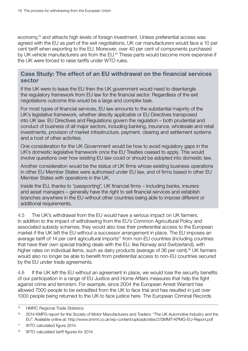economy,<sup>15</sup> and attracts high levels of foreign investment. Unless preferential access was agreed with the EU as part of the exit negotiations, UK car manufacturers would face a 10 per cent tariff when exporting to the EU. Moreover, over 40 per cent of components purchased by UK vehicle manufacturers are from the EU.<sup>16</sup> These parts would become more expensive if the UK were forced to raise tariffs under WTO rules.

### Case Study: The effect of an EU withdrawal on the financial services sector

If the UK were to leave the EU then the UK government would need to disentangle the regulatory framework from EU law for the financial sector. Regardless of the exit negotiations outcome this would be a large and complex task.

For most types of financial services, EU law amounts to the substantial majority of the UK's legislative framework, whether directly applicable or EU Directives transposed into UK law. EU Directives and Regulations govern the regulation – both prudential and conduct of business of all major sectors, including banking, insurance, wholesale and retail investments, provision of market infrastructure, payment, clearing and settlement systems and a host of other activities.

One consideration for the UK Government would be how to avoid regulatory gaps in the UK's domestic legislative framework once the EU Treaties ceased to apply. This would involve questions over how existing EU law could or should be adopted into domestic law.

Another consideration would be the status of UK firms whose existing business operations in other EU Member States were authorised under EU law, and of firms based in other EU Member States with operations in the UK.

Inside the EU, thanks to "passporting", UK financial firms – including banks, insurers and asset managers – generally have the right to sell financial services and establish branches anywhere in the EU without other countries being able to impose different or additional requirements.

4.5 The UK's withdrawal from the EU would have a serious impact on UK farmers. In addition to the impact of withdrawing from the EU's Common Agricultural Policy and associated subsidy schemes, they would also lose their preferential access to the European market if the UK left the EU without a successor arrangement in place. The EU imposes an average tariff of 14 per cent agricultural imports<sup>17</sup> from non-EU countries (including countries that have their own special trading deals with the EU, like Norway and Switzerland), with higher rates on individual items, such as dairy products (average of 36 per cent).<sup>18</sup> UK farmers would also no longer be able to benefit from preferential access to non-EU countries secured by the EU under trade agreements.

4.6 If the UK left the EU without an agreement in place, we would lose the security benefits of our participation in a range of EU Justice and Home Affairs measures that help the fight against crime and terrorism. For example, since 2004 the European Arrest Warrant has allowed 7000 people to be extradited from the UK to face trial and has resulted in just over 1000 people being returned to the UK to face justice here. The European Criminal Records

<sup>15</sup> HMRC Regional Trade Statistics

<sup>&</sup>lt;sup>16</sup> 2014 KMPG report for the Society of Motor Manufacturers and Traders: "The UK Automotive Industry and the EU". Available online at:<http://www.smmt.co.uk/wp-content/uploads/sites/2/SMMT-KPMG-EU-Report.pdf>

<sup>&</sup>lt;sup>17</sup> WTO calculated figure 2014.

<sup>&</sup>lt;sup>18</sup> WTO calculated tariff figures for 2014.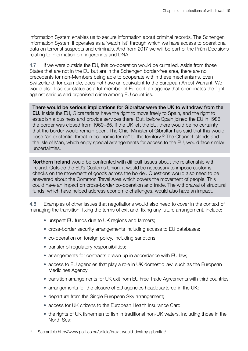Information System enables us to secure information about criminal records. The Schengen Information System II operates as a 'watch list' through which we have access to operational data on terrorist suspects and criminals. And from 2017 we will be part of the Prüm Decisions relating to information on fingerprints and DNA.

4.7 If we were outside the EU, this co-operation would be curtailed. Aside from those States that are not in the EU but are in the Schengen border-free area, there are no precedents for non-Members being able to cooperate within these mechanisms. Even Switzerland, for example, does not have an equivalent to the European Arrest Warrant. We would also lose our status as a full member of Europol, an agency that coordinates the fight against serious and organised crime among EU countries.

There would be serious implications for Gibraltar were the UK to withdraw from the EU. Inside the EU, Gibraltarians have the right to move freely to Spain, and the right to establish a business and provide services there. But, before Spain joined the EU in 1986, the border was closed from 1969–85. If the UK left the EU, there would be no certainty that the border would remain open. The Chief Minister of Gibraltar has said that this would pose "an existential threat in economic terms" to the territory.19 The Channel Islands and the Isle of Man, which enjoy special arrangements for access to the EU, would face similar uncertainties.

Northern Ireland would be confronted with difficult issues about the relationship with Ireland. Outside the EU's Customs Union, it would be necessary to impose customs checks on the movement of goods across the border. Questions would also need to be answered about the Common Travel Area which covers the movement of people. This could have an impact on cross-border co-operation and trade. The withdrawal of structural funds, which have helped address economic challenges, would also have an impact.

4.8 Examples of other issues that negotiations would also need to cover in the context of managing the transition, fixing the terms of exit and, fixing any future arrangement, include:

- unspent EU funds due to UK regions and farmers;
- cross-border security arrangements including access to EU databases;
- co-operation on foreign policy, including sanctions;
- transfer of regulatory responsibilities;
- arrangements for contracts drawn up in accordance with EU law;
- access to EU agencies that play a role in UK domestic law, such as the European Medicines Agency;
- transition arrangements for UK exit from EU Free Trade Agreements with third countries;
- arrangements for the closure of EU agencies headquartered in the UK;
- departure from the Single European Sky arrangement;
- access for UK citizens to the European Health Insurance Card;
- the rights of UK fishermen to fish in traditional non-UK waters, including those in the North Sea;

<sup>19</sup> See article<http://www.politico.eu/article/brexit-would-destroy-gilbraltar/>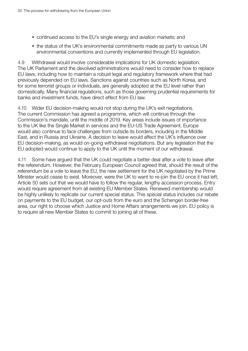- continued access to the EU's single energy and aviation markets; and
- the status of the UK's environmental commitments made as party to various UN environmental conventions and currently implemented through EU legislation.

4.9 Withdrawal would involve considerable implications for UK domestic legislation. The UK Parliament and the devolved administrations would need to consider how to replace EU laws, including how to maintain a robust legal and regulatory framework where that had previously depended on EU laws. Sanctions against countries such as North Korea, and for some terrorist groups or individuals, are generally adopted at the EU level rather than domestically. Many financial regulations, such as those governing prudential requirements for banks and investment funds, have direct effect from EU law.

4.10 Wider EU decision-making would not stop during the UK's exit negotiations. The current Commission has agreed a programme, which will continue through the Commission's mandate, until the middle of 2019. Key areas include issues of importance to the UK like the Single Market in services and the EU-US Trade Agreement. Europe would also continue to face challenges from outside its borders, including in the Middle East, and in Russia and Ukraine. A decision to leave would affect the UK's influence over EU decision-making, as would on-going withdrawal negotiations. But any legislation that the EU adopted would continue to apply to the UK until the moment of our withdrawal.

4.11 Some have argued that the UK could negotiate a better deal after a vote to leave after the referendum. However, the February European Council agreed that, should the result of the referendum be a vote to leave the EU, the new settlement for the UK negotiated by the Prime Minister would cease to exist. Moreover, were the UK to want to re-join the EU once it had left, Article 50 sets out that we would have to follow the regular, lengthy accession process. Entry would require agreement from all existing EU Member States. Renewed membership would be highly unlikely to replicate our current special status. This special status includes our rebate on payments to the EU budget, our opt-outs from the euro and the Schengen border-free area, our right to choose which Justice and Home Affairs arrangements we join. EU policy is to require all new Member States to commit to joining all of these.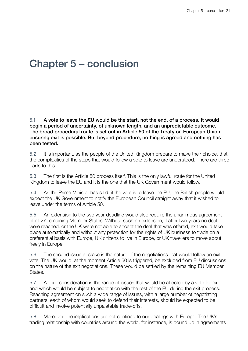## Chapter 5 – conclusion

5.1 A vote to leave the EU would be the start, not the end, of a process. It would begin a period of uncertainty, of unknown length, and an unpredictable outcome. The broad procedural route is set out in Article 50 of the Treaty on European Union, ensuring exit is possible. But beyond procedure, nothing is agreed and nothing has been tested.

5.2 It is important, as the people of the United Kingdom prepare to make their choice, that the complexities of the steps that would follow a vote to leave are understood. There are three parts to this.

5.3 The first is the Article 50 process itself. This is the only lawful route for the United Kingdom to leave the EU and it is the one that the UK Government would follow.

5.4 As the Prime Minister has said, if the vote is to leave the EU, the British people would expect the UK Government to notify the European Council straight away that it wished to leave under the terms of Article 50.

5.5 An extension to the two year deadline would also require the unanimous agreement of all 27 remaining Member States. Without such an extension, if after two years no deal were reached, or the UK were not able to accept the deal that was offered, exit would take place automatically and without any protection for the rights of UK business to trade on a preferential basis with Europe, UK citizens to live in Europe, or UK travellers to move about freely in Europe.

5.6 The second issue at stake is the nature of the negotiations that would follow an exit vote. The UK would, at the moment Article 50 is triggered, be excluded from EU discussions on the nature of the exit negotiations. These would be settled by the remaining EU Member States.

5.7 A third consideration is the range of issues that would be affected by a vote for exit and which would be subject to negotiation with the rest of the EU during the exit process. Reaching agreement on such a wide range of issues, with a large number of negotiating partners, each of whom would seek to defend their interests, should be expected to be difficult and involve potentially unpalatable trade-offs.

5.8 Moreover, the implications are not confined to our dealings with Europe. The UK's trading relationship with countries around the world, for instance, is bound up in agreements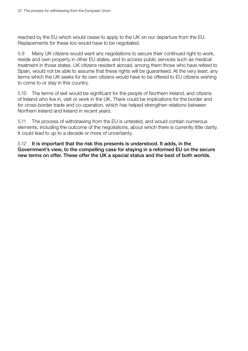reached by the EU which would cease to apply to the UK on our departure from the EU. Replacements for these too would have to be negotiated.

5.9 Many UK citizens would want any negotiations to secure their continued right to work, reside and own property in other EU states, and to access public services such as medical treatment in those states. UK citizens resident abroad, among them those who have retired to Spain, would not be able to assume that these rights will be quaranteed. At the very least, any terms which the UK seeks for its own citizens would have to be offered to EU citizens wishing to come to or stay in this country.

5.10 The terms of exit would be significant for the people of Northern Ireland, and citizens of Ireland who live in, visit or work in the UK. There could be implications for the border and for cross-border trade and co-operation, which has helped strengthen relations between Northern Ireland and Ireland in recent years.

5.11 The process of withdrawing from the EU is untested, and would contain numerous elements, including the outcome of the negotiations, about which there is currently little clarity. It could lead to up to a decade or more of uncertainty.

5.12 It is important that the risk this presents is understood. It adds, in the Government's view, to the compelling case for staying in a reformed EU on the secure new terms on offer. These offer the UK a special status and the best of both worlds.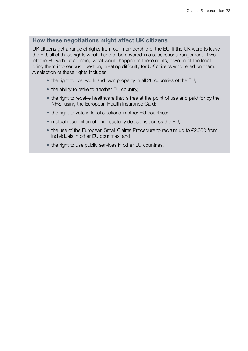#### How these negotiations might affect UK citizens

UK citizens get a range of rights from our membership of the EU. If the UK were to leave the EU, all of these rights would have to be covered in a successor arrangement. If we left the EU without agreeing what would happen to these rights, it would at the least bring them into serious question, creating difficulty for UK citizens who relied on them. A selection of these rights includes:

- the right to live, work and own property in all 28 countries of the EU;
- the ability to retire to another EU country;
- the right to receive healthcare that is free at the point of use and paid for by the NHS, using the European Health Insurance Card;
- the right to vote in local elections in other EU countries;
- mutual recognition of child custody decisions across the EU;
- the use of the European Small Claims Procedure to reclaim up to €2,000 from individuals in other EU countries; and
- the right to use public services in other EU countries.